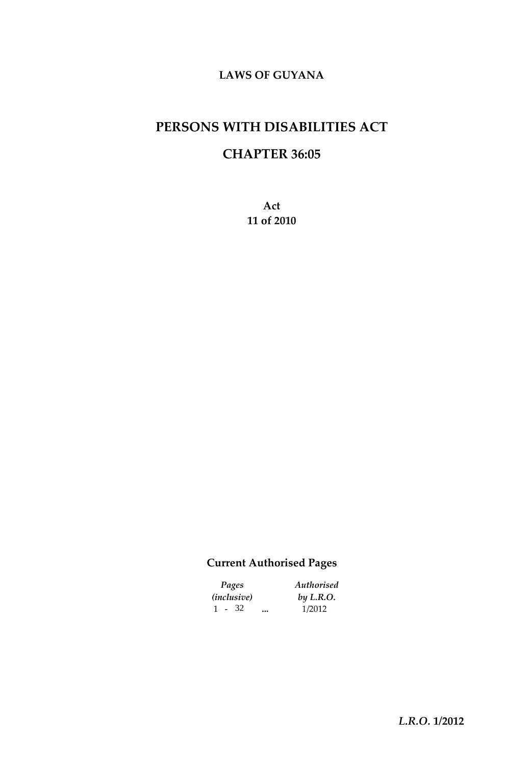# **PERSONS WITH DISABILITIES ACT**

## **CHAPTER 36:05**

**Act 11 of 2010**

## **Current Authorised Pages**

| Pages                |  | Authorised |  |  |  |
|----------------------|--|------------|--|--|--|
| ( <i>inclusive</i> ) |  | by L.R.O.  |  |  |  |
| $1 - 32$             |  | 1/2012     |  |  |  |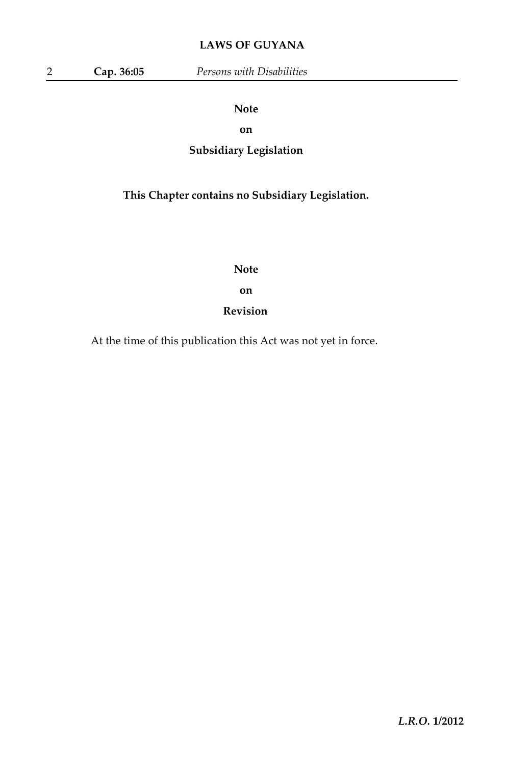### **Note**

**on**

## **Subsidiary Legislation**

## **This Chapter contains no Subsidiary Legislation.**

**Note**

**on**

### **Revision**

At the time of this publication this Act was not yet in force.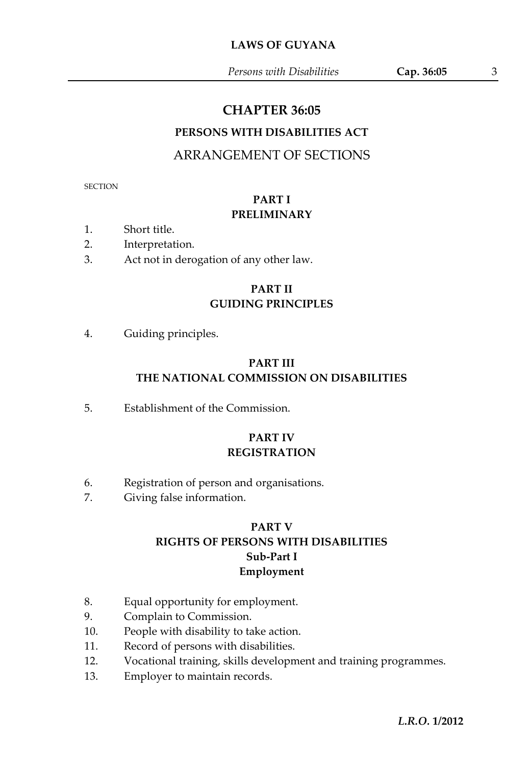*Persons with Disabilities* **Cap. 36:05** 3

## **CHAPTER 36:05**

## **PERSONS WITH DISABILITIES ACT**

## ARRANGEMENT OF SECTIONS

**SECTION** 

### **PART I PRELIMINARY**

- 1. Short title.
- 2. Interpretation.
- 3. Act not in derogation of any other law.

## **PART II GUIDING PRINCIPLES**

4. Guiding principles.

### **PART III THE NATIONAL COMMISSION ON DISABILITIES**

5. Establishment of the Commission.

## **PART IV REGISTRATION**

- 6. Registration of person and organisations.
- 7. Giving false information.

## **PART V RIGHTS OF PERSONS WITH DISABILITIES Sub-Part I Employment**

- 8. Equal opportunity for employment.
- 9. Complain to Commission.
- 10. People with disability to take action.
- 11. Record of persons with disabilities.
- 12. Vocational training, skills development and training programmes.
- 13. Employer to maintain records.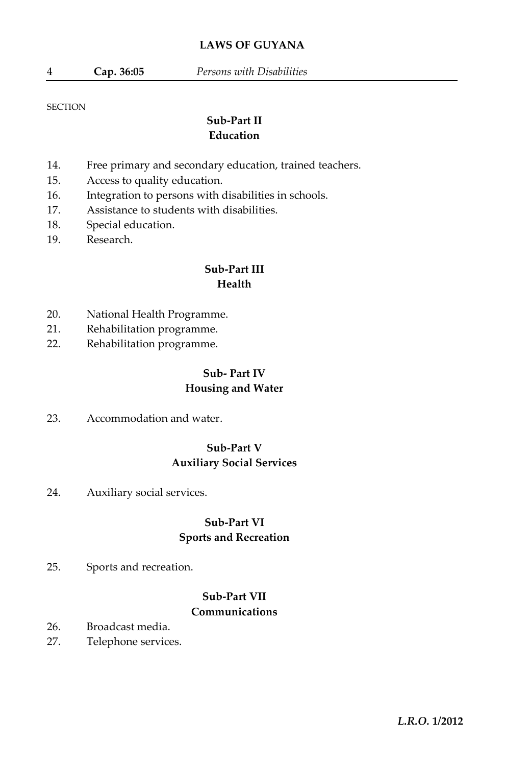#### **SECTION**

## **Sub-Part II Education**

- 14. Free primary and secondary education, trained teachers.
- 15. Access to quality education.
- 16. Integration to persons with disabilities in schools.
- 17. Assistance to students with disabilities.
- 18. Special education.
- 19. Research.

#### **Sub-Part III Health**

- 20. National Health Programme.
- 21. Rehabilitation programme.
- 22. Rehabilitation programme.

#### **Sub- Part IV Housing and Water**

23. Accommodation and water.

### **Sub-Part V Auxiliary Social Services**

24. Auxiliary social services.

## **Sub-Part VI Sports and Recreation**

25. Sports and recreation.

## **Sub-Part VII Communications**

- 26. Broadcast media.
- 27. Telephone services.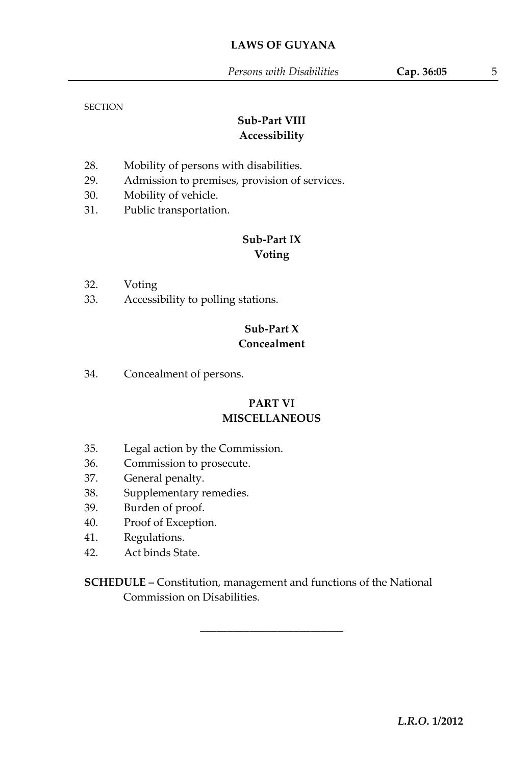#### **SECTION**

## **Sub-Part VIII Accessibility**

- 28. Mobility of persons with disabilities.
- 29. Admission to premises, provision of services.
- 30. Mobility of vehicle.
- 31. Public transportation.

### **Sub-Part IX Voting**

- 32. Voting
- 33. Accessibility to polling stations.

## **Sub-Part X Concealment**

34. Concealment of persons.

## **PART VI MISCELLANEOUS**

- 35. Legal action by the Commission.
- 36. Commission to prosecute.
- 37. General penalty.
- 38. Supplementary remedies.
- 39. Burden of proof.
- 40. Proof of Exception.
- 41. Regulations.
- 42. Act binds State.

**SCHEDULE –** Constitution, management and functions of the National Commission on Disabilities.

\_\_\_\_\_\_\_\_\_\_\_\_\_\_\_\_\_\_\_\_\_\_\_\_\_\_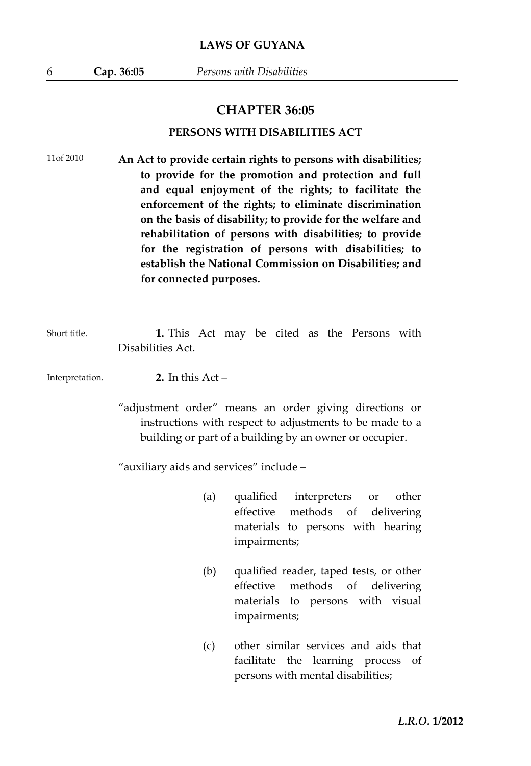#### **CHAPTER 36:05**

#### **PERSONS WITH DISABILITIES ACT**

11of 2010 **An Act to provide certain rights to persons with disabilities; to provide for the promotion and protection and full and equal enjoyment of the rights; to facilitate the enforcement of the rights; to eliminate discrimination on the basis of disability; to provide for the welfare and rehabilitation of persons with disabilities; to provide for the registration of persons with disabilities; to establish the National Commission on Disabilities; and for connected purposes.**

Short title. **1.** This Act may be cited as the Persons with Disabilities Act.

Interpretation. **2.** In this Act –

> "adjustment order" means an order giving directions or instructions with respect to adjustments to be made to a building or part of a building by an owner or occupier.

"auxiliary aids and services" include –

- (a) qualified interpreters or other effective methods of delivering materials to persons with hearing impairments;
- (b) qualified reader, taped tests, or other effective methods of delivering materials to persons with visual impairments;
- (c) other similar services and aids that facilitate the learning process of persons with mental disabilities;

*L.R.O.* **1/2012**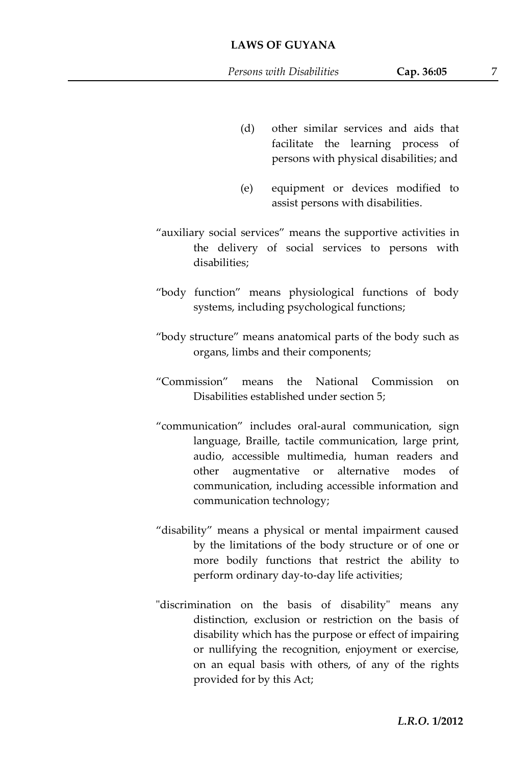- (d) other similar services and aids that facilitate the learning process of persons with physical disabilities; and
- (e) equipment or devices modified to assist persons with disabilities.
- "auxiliary social services" means the supportive activities in the delivery of social services to persons with disabilities;
- "body function" means physiological functions of body systems, including psychological functions;
- "body structure" means anatomical parts of the body such as organs, limbs and their components;
- "Commission" means the National Commission on Disabilities established under section 5;
- "communication" includes oral-aural communication, sign language, Braille, tactile communication, large print, audio, accessible multimedia, human readers and other augmentative or alternative modes of communication, including accessible information and communication technology;
- "disability" means a physical or mental impairment caused by the limitations of the body structure or of one or more bodily functions that restrict the ability to perform ordinary day-to-day life activities;
- "discrimination on the basis of disability" means any distinction, exclusion or restriction on the basis of disability which has the purpose or effect of impairing or nullifying the recognition, enjoyment or exercise, on an equal basis with others, of any of the rights provided for by this Act;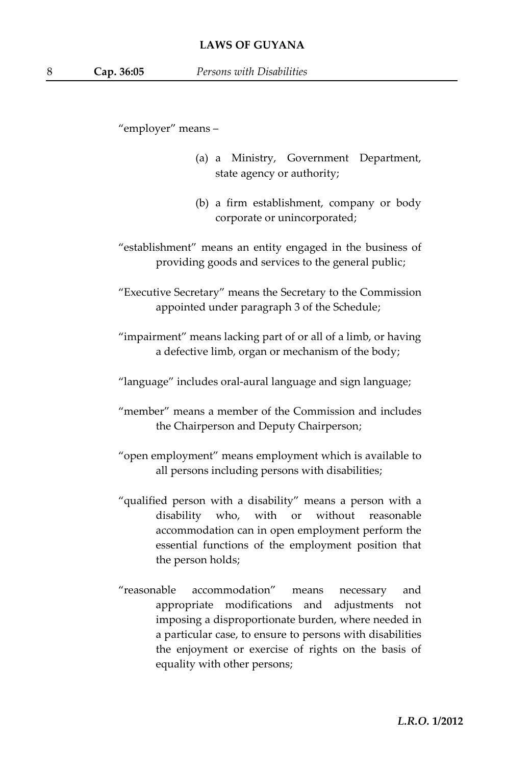"employer" means –

- (a) a Ministry, Government Department, state agency or authority;
- (b) a firm establishment, company or body corporate or unincorporated;
- "establishment" means an entity engaged in the business of providing goods and services to the general public;

"Executive Secretary" means the Secretary to the Commission appointed under paragraph 3 of the Schedule;

- "impairment" means lacking part of or all of a limb, or having a defective limb, organ or mechanism of the body;
- "language" includes oral-aural language and sign language;
- "member" means a member of the Commission and includes the Chairperson and Deputy Chairperson;
- "open employment" means employment which is available to all persons including persons with disabilities;
- "qualified person with a disability" means a person with a disability who, with or without reasonable accommodation can in open employment perform the essential functions of the employment position that the person holds;
- "reasonable accommodation" means necessary and appropriate modifications and adjustments not imposing a disproportionate burden, where needed in a particular case, to ensure to persons with disabilities the enjoyment or exercise of rights on the basis of equality with other persons;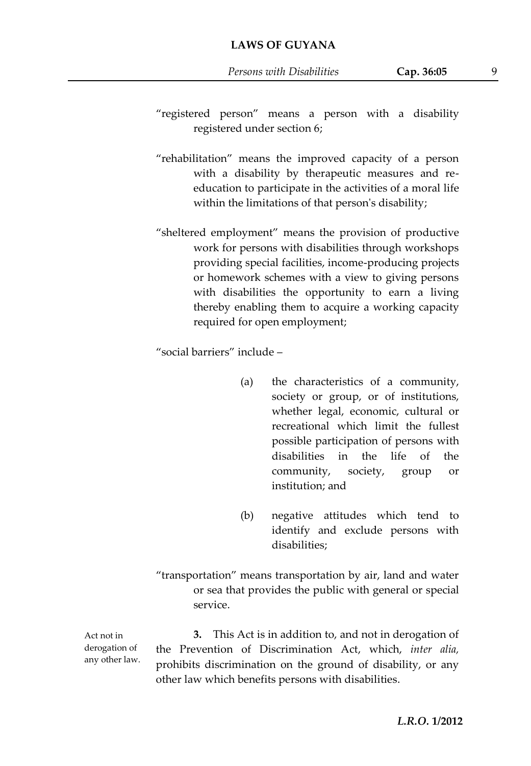- "registered person" means a person with a disability registered under section 6;
- "rehabilitation" means the improved capacity of a person with a disability by therapeutic measures and reeducation to participate in the activities of a moral life within the limitations of that person's disability;
- "sheltered employment" means the provision of productive work for persons with disabilities through workshops providing special facilities, income-producing projects or homework schemes with a view to giving persons with disabilities the opportunity to earn a living thereby enabling them to acquire a working capacity required for open employment;

"social barriers" include –

- (a) the characteristics of a community, society or group, or of institutions, whether legal, economic, cultural or recreational which limit the fullest possible participation of persons with disabilities in the life of the community, society, group or institution; and
- (b) negative attitudes which tend to identify and exclude persons with disabilities;
- "transportation" means transportation by air, land and water or sea that provides the public with general or special service.

**3.** This Act is in addition to, and not in derogation of the Prevention of Discrimination Act, which, *inter alia,* prohibits discrimination on the ground of disability, or any other law which benefits persons with disabilities.

Act not in derogation of any other law.

*L.R.O.* **1/2012**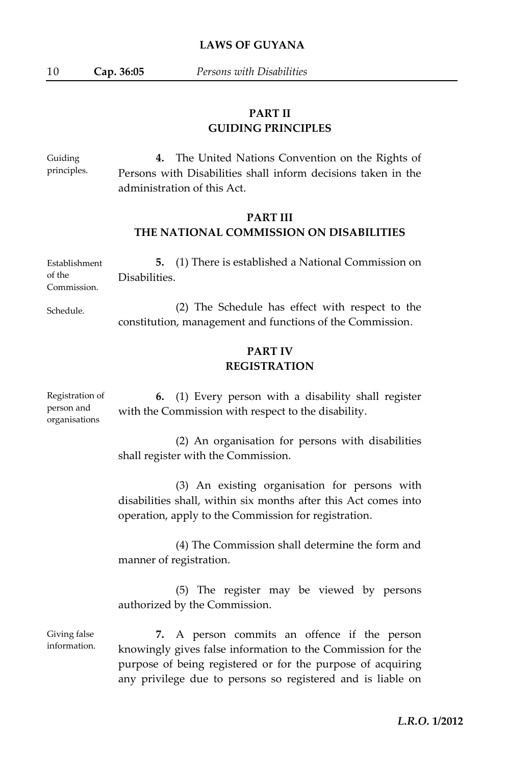10 **Cap. 36:05** *Persons with Disabilities*

## **PART II GUIDING PRINCIPLES**

Guiding principles. **4.** The United Nations Convention on the Rights of Persons with Disabilities shall inform decisions taken in the administration of this Act.

#### **PART III THE NATIONAL COMMISSION ON DISABILITIES**

| Establishment | <b>5.</b> (1) There is established a National Commission on |
|---------------|-------------------------------------------------------------|
| of the        | Disabilities.                                               |
| Commission.   |                                                             |

Schedule. (2) The Schedule has effect with respect to the constitution, management and functions of the Commission.

## **PART IV REGISTRATION**

Registration of person and organisations **6.** (1) Every person with a disability shall register with the Commission with respect to the disability.

> (2) An organisation for persons with disabilities shall register with the Commission.

> (3) An existing organisation for persons with disabilities shall, within six months after this Act comes into operation, apply to the Commission for registration.

> (4) The Commission shall determine the form and manner of registration.

> (5) The register may be viewed by persons authorized by the Commission.

Giving false information. **7.** A person commits an offence if the person knowingly gives false information to the Commission for the purpose of being registered or for the purpose of acquiring any privilege due to persons so registered and is liable on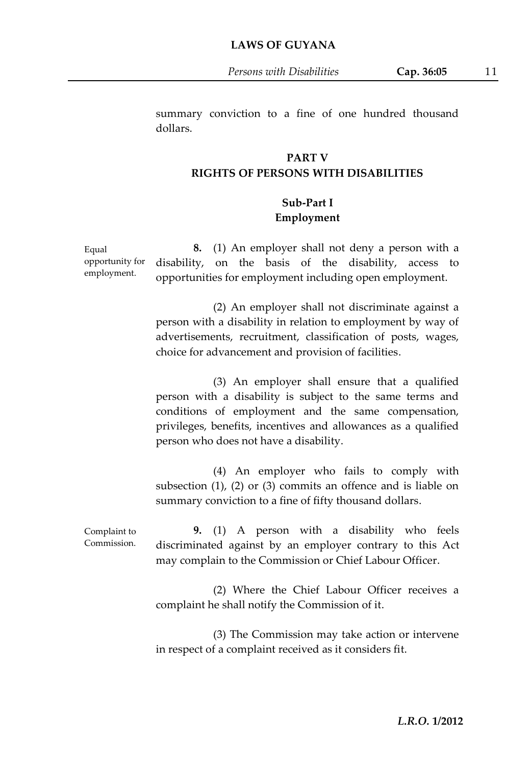*Persons with Disabilities* **Cap. 36:05** 11

summary conviction to a fine of one hundred thousand dollars.

#### **PART V RIGHTS OF PERSONS WITH DISABILITIES**

## **Sub-Part I Employment**

opportunity for employment. **8.** (1) An employer shall not deny a person with a disability, on the basis of the disability, access to opportunities for employment including open employment.

Equal

(2) An employer shall not discriminate against a person with a disability in relation to employment by way of advertisements, recruitment, classification of posts, wages, choice for advancement and provision of facilities.

(3) An employer shall ensure that a qualified person with a disability is subject to the same terms and conditions of employment and the same compensation, privileges, benefits, incentives and allowances as a qualified person who does not have a disability.

(4) An employer who fails to comply with subsection (1), (2) or (3) commits an offence and is liable on summary conviction to a fine of fifty thousand dollars.

Complaint to Commission. **9.** (1) A person with a disability who feels discriminated against by an employer contrary to this Act may complain to the Commission or Chief Labour Officer.

> (2) Where the Chief Labour Officer receives a complaint he shall notify the Commission of it.

> (3) The Commission may take action or intervene in respect of a complaint received as it considers fit.

> > *L.R.O.* **1/2012**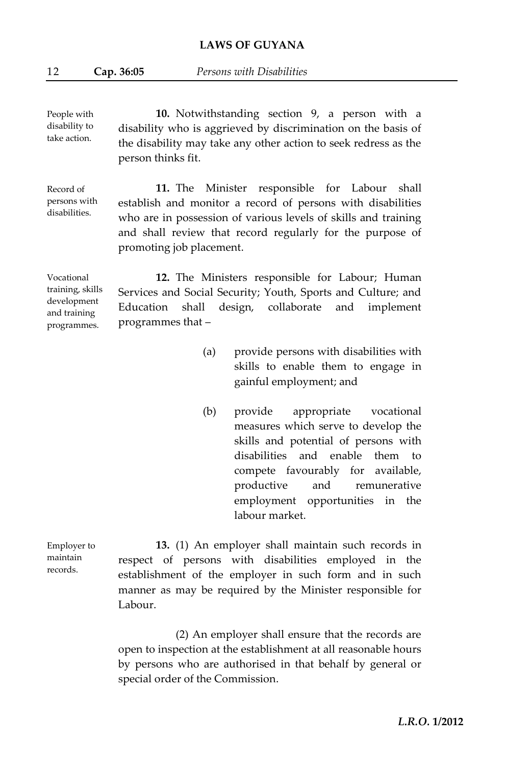People with disability to take action. **10.** Notwithstanding section 9, a person with a disability who is aggrieved by discrimination on the basis of the disability may take any other action to seek redress as the person thinks fit.

Record of persons with disabilities. **11.** The Minister responsible for Labour shall establish and monitor a record of persons with disabilities who are in possession of various levels of skills and training and shall review that record regularly for the purpose of promoting job placement.

Vocational training, skills development and training programmes. **12.** The Ministers responsible for Labour; Human Services and Social Security; Youth, Sports and Culture; and Education shall design, collaborate and implement programmes that –

- (a) provide persons with disabilities with skills to enable them to engage in gainful employment; and
- (b) provide appropriate vocational measures which serve to develop the skills and potential of persons with disabilities and enable them to compete favourably for available, productive and remunerative employment opportunities in the labour market.

**13.** (1) An employer shall maintain such records in respect of persons with disabilities employed in the establishment of the employer in such form and in such manner as may be required by the Minister responsible for Labour.

(2) An employer shall ensure that the records are open to inspection at the establishment at all reasonable hours by persons who are authorised in that behalf by general or special order of the Commission.

Employer to maintain records.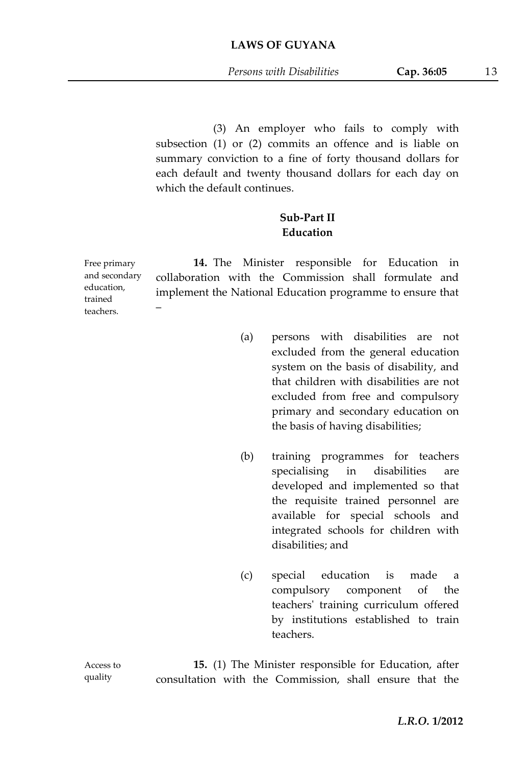(3) An employer who fails to comply with subsection (1) or (2) commits an offence and is liable on summary conviction to a fine of forty thousand dollars for each default and twenty thousand dollars for each day on which the default continues.

## **Sub-Part II Education**

Free primary and secondary education, teachers. **14.** The Minister responsible for Education in collaboration with the Commission shall formulate and implement the National Education programme to ensure that –

- (a) persons with disabilities are not excluded from the general education system on the basis of disability, and that children with disabilities are not excluded from free and compulsory primary and secondary education on the basis of having disabilities;
- (b) training programmes for teachers specialising in disabilities are developed and implemented so that the requisite trained personnel are available for special schools and integrated schools for children with disabilities; and
- (c) special education is made a compulsory component of the teachers' training curriculum offered by institutions established to train teachers.

**15.** (1) The Minister responsible for Education, after consultation with the Commission, shall ensure that the

Access to quality

trained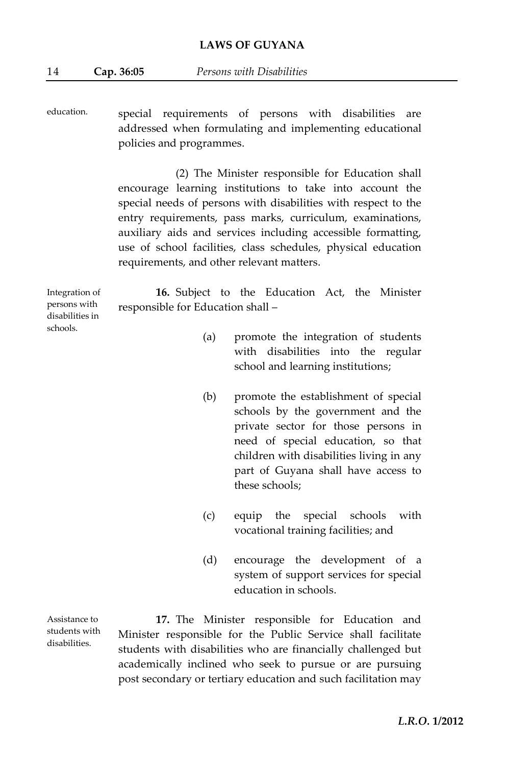education. special requirements of persons with disabilities are addressed when formulating and implementing educational policies and programmes.

> (2) The Minister responsible for Education shall encourage learning institutions to take into account the special needs of persons with disabilities with respect to the entry requirements, pass marks, curriculum, examinations, auxiliary aids and services including accessible formatting, use of school facilities, class schedules, physical education requirements, and other relevant matters.

Integration of persons with disabilities in schools.

**16.** Subject to the Education Act, the Minister responsible for Education shall –

- (a) promote the integration of students with disabilities into the regular school and learning institutions;
- (b) promote the establishment of special schools by the government and the private sector for those persons in need of special education, so that children with disabilities living in any part of Guyana shall have access to these schools;
- (c) equip the special schools with vocational training facilities; and
- (d) encourage the development of a system of support services for special education in schools.

Assistance to students with disabilities.

**17.** The Minister responsible for Education and Minister responsible for the Public Service shall facilitate students with disabilities who are financially challenged but academically inclined who seek to pursue or are pursuing post secondary or tertiary education and such facilitation may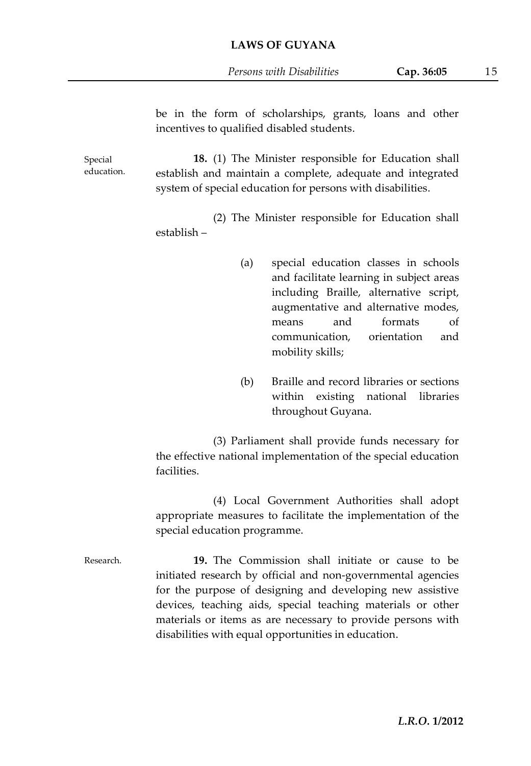*Persons with Disabilities* **Cap. 36:05** 15

|                       | be in the form of scholarships, grants, loans and other<br>incentives to qualified disabled students.                                                                            |                                                                                                                                                                                                                                                                                                                                                                    |  |  |  |
|-----------------------|----------------------------------------------------------------------------------------------------------------------------------------------------------------------------------|--------------------------------------------------------------------------------------------------------------------------------------------------------------------------------------------------------------------------------------------------------------------------------------------------------------------------------------------------------------------|--|--|--|
| Special<br>education. | 18. (1) The Minister responsible for Education shall<br>establish and maintain a complete, adequate and integrated<br>system of special education for persons with disabilities. |                                                                                                                                                                                                                                                                                                                                                                    |  |  |  |
|                       | establish –                                                                                                                                                                      | (2) The Minister responsible for Education shall                                                                                                                                                                                                                                                                                                                   |  |  |  |
|                       | (a)                                                                                                                                                                              | special education classes in schools<br>and facilitate learning in subject areas<br>including Braille, alternative script,<br>augmentative and alternative modes,<br>and<br>formats<br>οf<br>means<br>orientation<br>communication,<br>and<br>mobility skills;                                                                                                     |  |  |  |
|                       | (b)                                                                                                                                                                              | Braille and record libraries or sections<br>within existing national<br>libraries<br>throughout Guyana.                                                                                                                                                                                                                                                            |  |  |  |
|                       | (3) Parliament shall provide funds necessary for<br>the effective national implementation of the special education<br>facilities.                                                |                                                                                                                                                                                                                                                                                                                                                                    |  |  |  |
|                       | (4) Local Government Authorities shall adopt<br>appropriate measures to facilitate the implementation of the<br>special education programme.                                     |                                                                                                                                                                                                                                                                                                                                                                    |  |  |  |
| Research.             |                                                                                                                                                                                  | 19. The Commission shall initiate or cause to be<br>initiated research by official and non-governmental agencies<br>for the purpose of designing and developing new assistive<br>devices, teaching aids, special teaching materials or other<br>materials or items as are necessary to provide persons with<br>disabilities with equal opportunities in education. |  |  |  |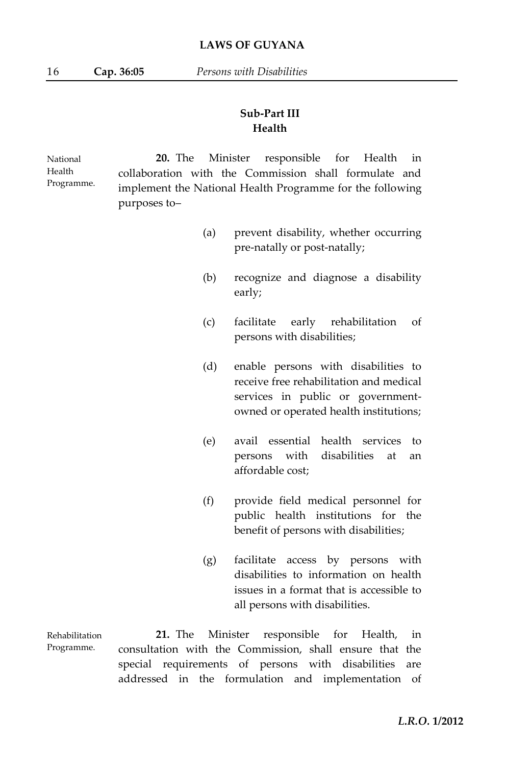## **Sub-Part III Health**

National Health Programme. **20.** The Minister responsible for Health in collaboration with the Commission shall formulate and implement the National Health Programme for the following purposes to–

- (a) prevent disability, whether occurring pre-natally or post-natally;
- (b) recognize and diagnose a disability early;
- (c) facilitate early rehabilitation of persons with disabilities;
- (d) enable persons with disabilities to receive free rehabilitation and medical services in public or governmentowned or operated health institutions;
- (e) avail essential health services to persons with disabilities at an affordable cost;
- (f) provide field medical personnel for public health institutions for the benefit of persons with disabilities;
- (g) facilitate access by persons with disabilities to information on health issues in a format that is accessible to all persons with disabilities.

Rehabilitation Programme. **21.** The Minister responsible for Health, in consultation with the Commission, shall ensure that the special requirements of persons with disabilities are addressed in the formulation and implementation of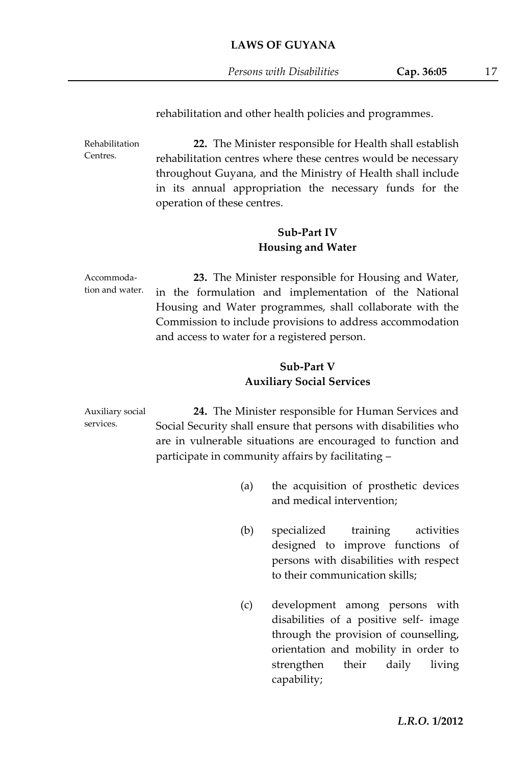*Persons with Disabilities* **Cap. 36:05** 17

rehabilitation and other health policies and programmes.

Rehabilitation Centres. **22.** The Minister responsible for Health shall establish rehabilitation centres where these centres would be necessary throughout Guyana, and the Ministry of Health shall include in its annual appropriation the necessary funds for the operation of these centres.

#### **Sub-Part IV Housing and Water**

Accommodation and water. **23.** The Minister responsible for Housing and Water, in the formulation and implementation of the National Housing and Water programmes, shall collaborate with the Commission to include provisions to address accommodation and access to water for a registered person.

### **Sub-Part V Auxiliary Social Services**

Auxiliary social services. **24.** The Minister responsible for Human Services and Social Security shall ensure that persons with disabilities who are in vulnerable situations are encouraged to function and participate in community affairs by facilitating –

- (a) the acquisition of prosthetic devices and medical intervention;
- (b) specialized training activities designed to improve functions of persons with disabilities with respect to their communication skills;
- (c) development among persons with disabilities of a positive self- image through the provision of counselling, orientation and mobility in order to strengthen their daily living capability;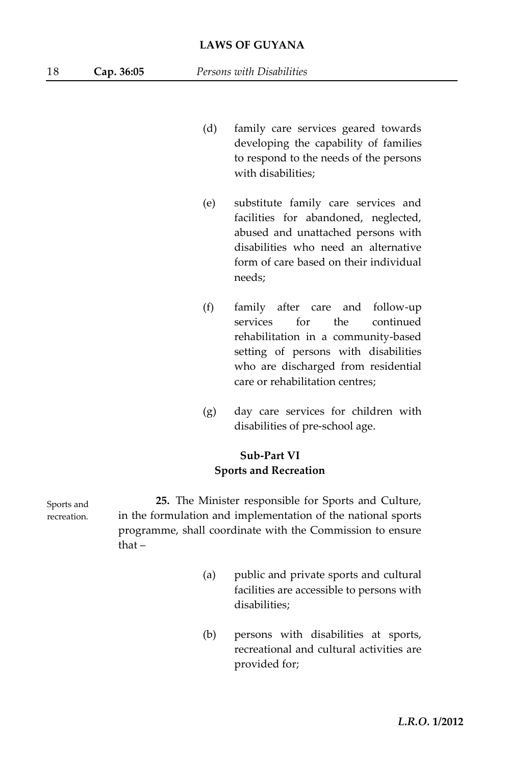- (d) family care services geared towards developing the capability of families to respond to the needs of the persons with disabilities;
- (e) substitute family care services and facilities for abandoned, neglected, abused and unattached persons with disabilities who need an alternative form of care based on their individual needs;
- (f) family after care and follow-up services for the continued rehabilitation in a community-based setting of persons with disabilities who are discharged from residential care or rehabilitation centres;
- (g) day care services for children with disabilities of pre-school age.

## **Sub-Part VI Sports and Recreation**

**25.** The Minister responsible for Sports and Culture, in the formulation and implementation of the national sports programme, shall coordinate with the Commission to ensure that –

- (a) public and private sports and cultural facilities are accessible to persons with disabilities;
- (b) persons with disabilities at sports, recreational and cultural activities are provided for;

Sports and recreation.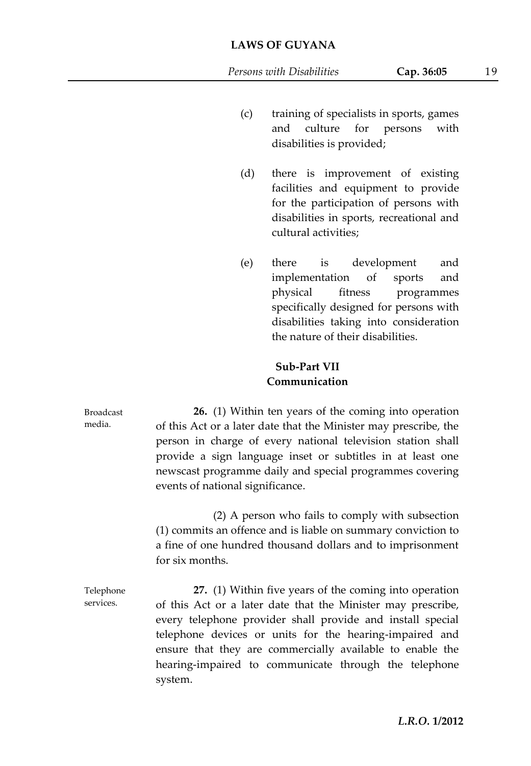- (c) training of specialists in sports, games and culture for persons with disabilities is provided;
- (d) there is improvement of existing facilities and equipment to provide for the participation of persons with disabilities in sports, recreational and cultural activities;
- (e) there is development and implementation of sports and physical fitness programmes specifically designed for persons with disabilities taking into consideration the nature of their disabilities.

## **Sub-Part VII Communication**

Broadcast media.

**26.** (1) Within ten years of the coming into operation of this Act or a later date that the Minister may prescribe, the person in charge of every national television station shall provide a sign language inset or subtitles in at least one newscast programme daily and special programmes covering events of national significance.

(2) A person who fails to comply with subsection (1) commits an offence and is liable on summary conviction to a fine of one hundred thousand dollars and to imprisonment for six months.

Telephone services. **27.** (1) Within five years of the coming into operation of this Act or a later date that the Minister may prescribe, every telephone provider shall provide and install special telephone devices or units for the hearing-impaired and ensure that they are commercially available to enable the hearing-impaired to communicate through the telephone system.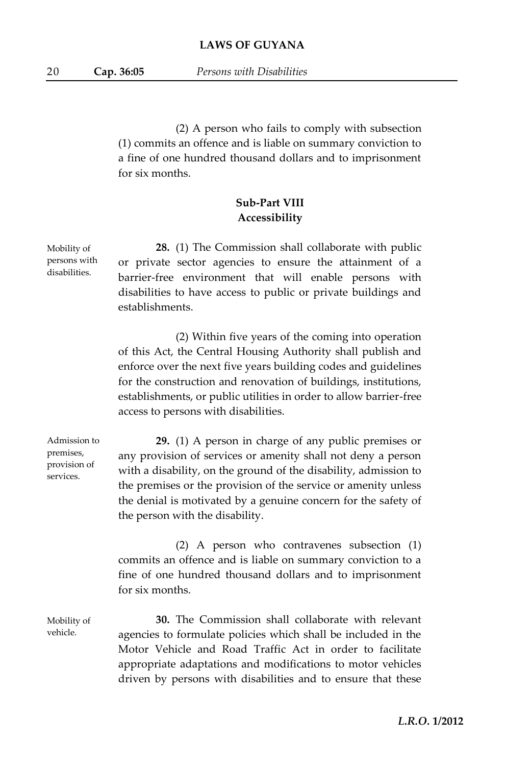(2) A person who fails to comply with subsection (1) commits an offence and is liable on summary conviction to a fine of one hundred thousand dollars and to imprisonment for six months.

## **Sub-Part VIII Accessibility**

**28.** (1) The Commission shall collaborate with public or private sector agencies to ensure the attainment of a barrier-free environment that will enable persons with disabilities to have access to public or private buildings and establishments.

(2) Within five years of the coming into operation of this Act, the Central Housing Authority shall publish and enforce over the next five years building codes and guidelines for the construction and renovation of buildings, institutions, establishments, or public utilities in order to allow barrier-free access to persons with disabilities.

Admission to provision of **29.** (1) A person in charge of any public premises or any provision of services or amenity shall not deny a person with a disability, on the ground of the disability, admission to the premises or the provision of the service or amenity unless the denial is motivated by a genuine concern for the safety of the person with the disability.

> (2) A person who contravenes subsection (1) commits an offence and is liable on summary conviction to a fine of one hundred thousand dollars and to imprisonment for six months.

Mobility of vehicle.

premises,

services.

**30.** The Commission shall collaborate with relevant agencies to formulate policies which shall be included in the Motor Vehicle and Road Traffic Act in order to facilitate appropriate adaptations and modifications to motor vehicles driven by persons with disabilities and to ensure that these

Mobility of persons with disabilities.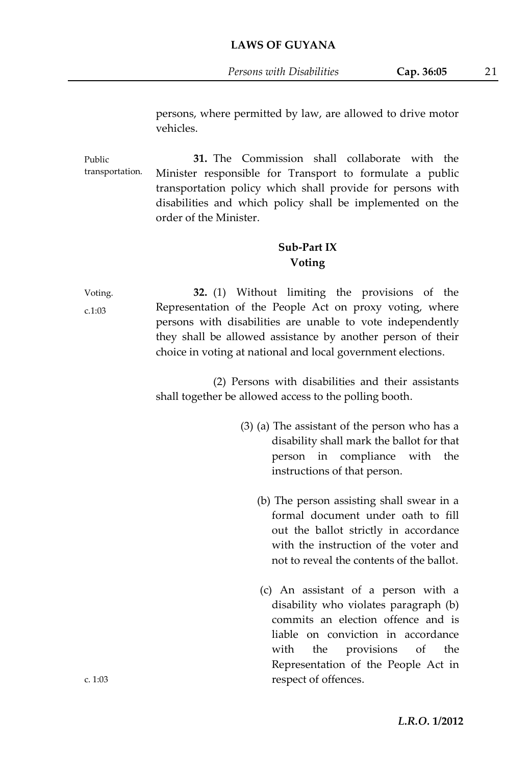persons, where permitted by law, are allowed to drive motor vehicles.

Public transportation. **31.** The Commission shall collaborate with the Minister responsible for Transport to formulate a public transportation policy which shall provide for persons with disabilities and which policy shall be implemented on the order of the Minister.

#### **Sub-Part IX Voting**

Voting. c.1:03 **32.** (1) Without limiting the provisions of the Representation of the People Act on proxy voting, where persons with disabilities are unable to vote independently they shall be allowed assistance by another person of their choice in voting at national and local government elections.

> (2) Persons with disabilities and their assistants shall together be allowed access to the polling booth.

- (3) (a) The assistant of the person who has a disability shall mark the ballot for that person in compliance with the instructions of that person.
	- (b) The person assisting shall swear in a formal document under oath to fill out the ballot strictly in accordance with the instruction of the voter and not to reveal the contents of the ballot.
	- (c) An assistant of a person with a disability who violates paragraph (b) commits an election offence and is liable on conviction in accordance with the provisions of the Representation of the People Act in respect of offences.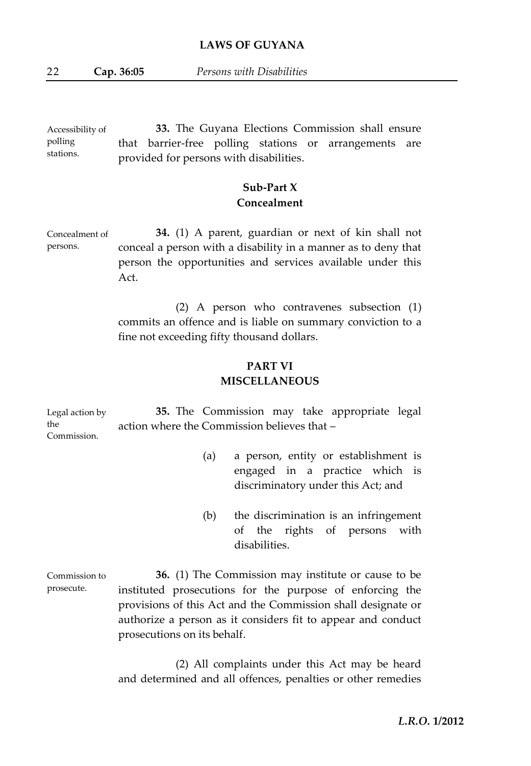Accessibility of polling stations. **33.** The Guyana Elections Commission shall ensure that barrier-free polling stations or arrangements are provided for persons with disabilities.

## **Sub-Part X Concealment**

Concealment of persons. **34.** (1) A parent, guardian or next of kin shall not conceal a person with a disability in a manner as to deny that person the opportunities and services available under this Act.

> (2) A person who contravenes subsection (1) commits an offence and is liable on summary conviction to a fine not exceeding fifty thousand dollars.

## **PART VI MISCELLANEOUS**

| Legal action by    |                                             | 35. The Commission may take appropriate legal |  |  |
|--------------------|---------------------------------------------|-----------------------------------------------|--|--|
| the<br>Commission. | action where the Commission believes that – |                                               |  |  |

- (a) a person, entity or establishment is engaged in a practice which is discriminatory under this Act; and
- (b) the discrimination is an infringement of the rights of persons with disabilities.

Commission to prosecute. **36.** (1) The Commission may institute or cause to be instituted prosecutions for the purpose of enforcing the provisions of this Act and the Commission shall designate or authorize a person as it considers fit to appear and conduct prosecutions on its behalf.

> (2) All complaints under this Act may be heard and determined and all offences, penalties or other remedies

> > *L.R.O.* **1/2012**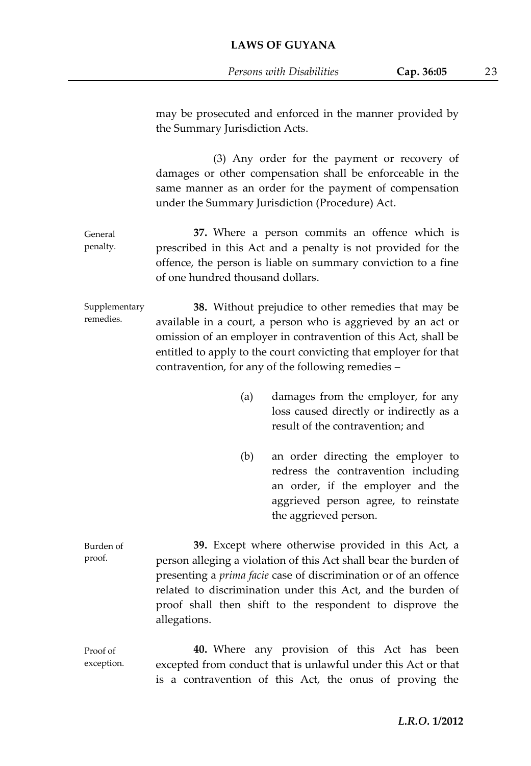General penalty. Supplementary remedies. Burden of proof. may be prosecuted and enforced in the manner provided by the Summary Jurisdiction Acts. (3) Any order for the payment or recovery of damages or other compensation shall be enforceable in the same manner as an order for the payment of compensation under the Summary Jurisdiction (Procedure) Act. **37.** Where a person commits an offence which is prescribed in this Act and a penalty is not provided for the offence, the person is liable on summary conviction to a fine of one hundred thousand dollars. **38.** Without prejudice to other remedies that may be available in a court, a person who is aggrieved by an act or omission of an employer in contravention of this Act, shall be entitled to apply to the court convicting that employer for that contravention, for any of the following remedies – (a) damages from the employer, for any loss caused directly or indirectly as a result of the contravention; and (b) an order directing the employer to redress the contravention including an order, if the employer and the aggrieved person agree, to reinstate the aggrieved person. **39.** Except where otherwise provided in this Act, a person alleging a violation of this Act shall bear the burden of presenting a *prima facie* case of discrimination or of an offence related to discrimination under this Act, and the burden of proof shall then shift to the respondent to disprove the allegations.

Proof of exception. **40.** Where any provision of this Act has been excepted from conduct that is unlawful under this Act or that is a contravention of this Act, the onus of proving the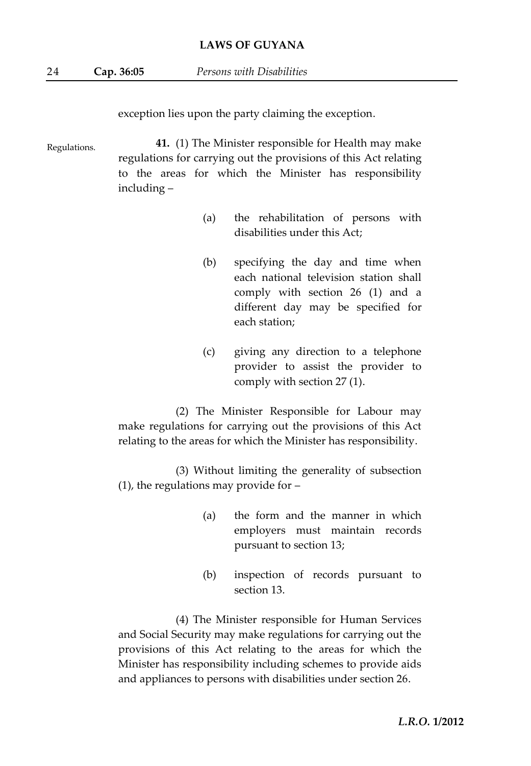exception lies upon the party claiming the exception.

Regulations. **41.** (1) The Minister responsible for Health may make regulations for carrying out the provisions of this Act relating to the areas for which the Minister has responsibility including –

- (a) the rehabilitation of persons with disabilities under this Act;
- (b) specifying the day and time when each national television station shall comply with section 26 (1) and a different day may be specified for each station;
- (c) giving any direction to a telephone provider to assist the provider to comply with section 27 (1).

(2) The Minister Responsible for Labour may make regulations for carrying out the provisions of this Act relating to the areas for which the Minister has responsibility.

(3) Without limiting the generality of subsection (1), the regulations may provide for –

- (a) the form and the manner in which employers must maintain records pursuant to section 13;
- (b) inspection of records pursuant to section 13.

(4) The Minister responsible for Human Services and Social Security may make regulations for carrying out the provisions of this Act relating to the areas for which the Minister has responsibility including schemes to provide aids and appliances to persons with disabilities under section 26.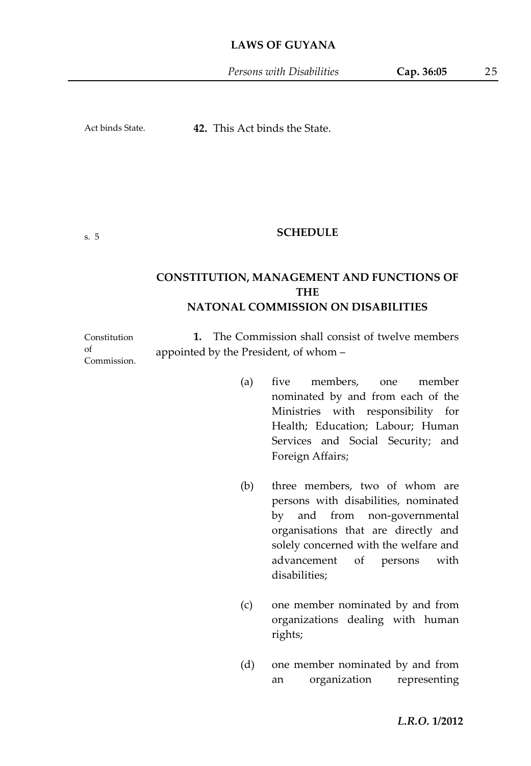*Persons with Disabilities* **Cap. 36:05** 25

Act binds State.

**42.** This Act binds the State.

#### s. 5

 $\alpha$ f

#### **SCHEDULE**

## **CONSTITUTION, MANAGEMENT AND FUNCTIONS OF THE NATONAL COMMISSION ON DISABILITIES**

Constitution Commission. **1.** The Commission shall consist of twelve members appointed by the President, of whom –

- (a) five members, one member nominated by and from each of the Ministries with responsibility for Health; Education; Labour; Human Services and Social Security; and Foreign Affairs;
- (b) three members, two of whom are persons with disabilities, nominated by and from non-governmental organisations that are directly and solely concerned with the welfare and advancement of persons with disabilities;
- (c) one member nominated by and from organizations dealing with human rights;
- (d) one member nominated by and from an organization representing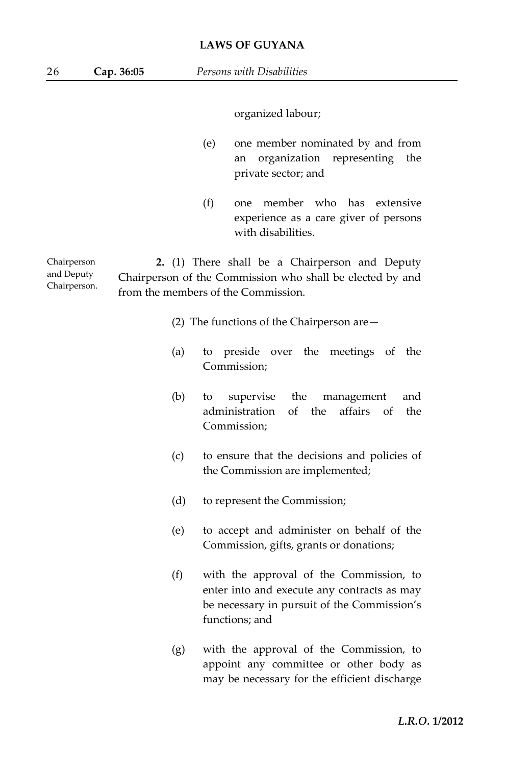organized labour;

- (e) one member nominated by and from an organization representing the private sector; and
- (f) one member who has extensive experience as a care giver of persons with disabilities.

Chairperson and Deputy Chairperson. **2.** (1) There shall be a Chairperson and Deputy Chairperson of the Commission who shall be elected by and from the members of the Commission.

- (2) The functions of the Chairperson are—
- (a) to preside over the meetings of the Commission;
- (b) to supervise the management and administration of the affairs of the Commission;
- (c) to ensure that the decisions and policies of the Commission are implemented;
- (d) to represent the Commission;
- (e) to accept and administer on behalf of the Commission, gifts, grants or donations;
- (f) with the approval of the Commission, to enter into and execute any contracts as may be necessary in pursuit of the Commission's functions; and
- (g) with the approval of the Commission, to appoint any committee or other body as may be necessary for the efficient discharge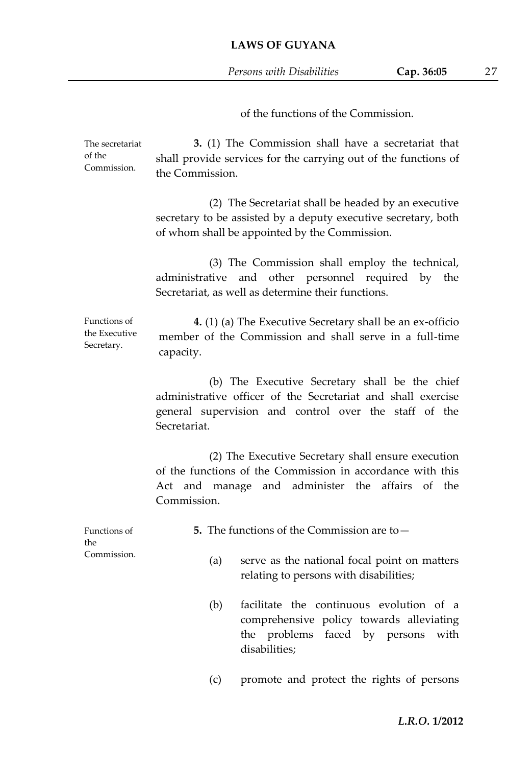of the functions of the Commission.

| The secretariat<br>of the<br>Commission.    | 3. (1) The Commission shall have a secretariat that<br>shall provide services for the carrying out of the functions of<br>the Commission.                                               |  |  |  |  |
|---------------------------------------------|-----------------------------------------------------------------------------------------------------------------------------------------------------------------------------------------|--|--|--|--|
|                                             | (2) The Secretariat shall be headed by an executive<br>secretary to be assisted by a deputy executive secretary, both<br>of whom shall be appointed by the Commission.                  |  |  |  |  |
|                                             | (3) The Commission shall employ the technical,<br>and other personnel required by the<br>administrative<br>Secretariat, as well as determine their functions.                           |  |  |  |  |
| Functions of<br>the Executive<br>Secretary. | 4. (1) (a) The Executive Secretary shall be an ex-officio<br>member of the Commission and shall serve in a full-time<br>capacity.                                                       |  |  |  |  |
|                                             | (b) The Executive Secretary shall be the chief<br>administrative officer of the Secretariat and shall exercise<br>general supervision and control over the staff of the<br>Secretariat. |  |  |  |  |
|                                             | (2) The Executive Secretary shall ensure execution<br>of the functions of the Commission in accordance with this<br>Act and manage and administer the affairs of the<br>Commission.     |  |  |  |  |
| Functions of<br>the<br>Commission.          | 5. The functions of the Commission are to $-$                                                                                                                                           |  |  |  |  |
|                                             | (a)<br>serve as the national focal point on matters<br>relating to persons with disabilities;                                                                                           |  |  |  |  |
|                                             | (b)<br>facilitate the continuous evolution of a<br>comprehensive policy towards alleviating<br>the problems faced by persons<br>with<br>disabilities;                                   |  |  |  |  |
|                                             | (c)<br>promote and protect the rights of persons                                                                                                                                        |  |  |  |  |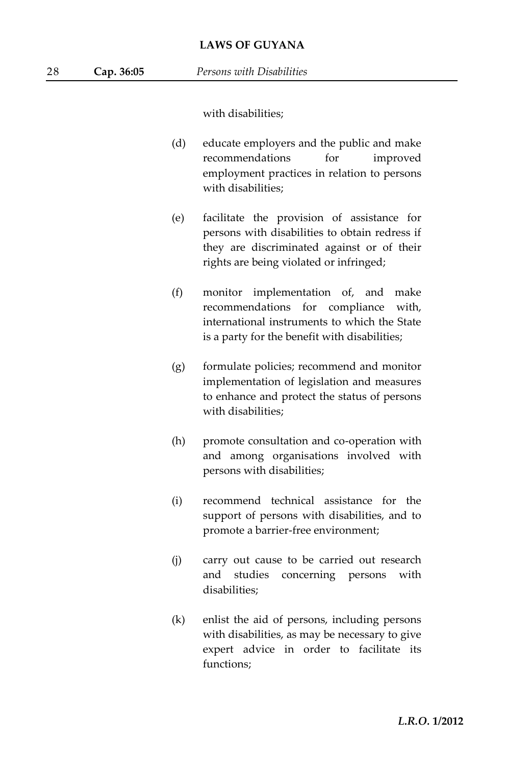with disabilities;

- (d) educate employers and the public and make recommendations for improved employment practices in relation to persons with disabilities;
- (e) facilitate the provision of assistance for persons with disabilities to obtain redress if they are discriminated against or of their rights are being violated or infringed;
- (f) monitor implementation of, and make recommendations for compliance with, international instruments to which the State is a party for the benefit with disabilities;
- (g) formulate policies; recommend and monitor implementation of legislation and measures to enhance and protect the status of persons with disabilities;
- (h) promote consultation and co-operation with and among organisations involved with persons with disabilities;
- (i) recommend technical assistance for the support of persons with disabilities, and to promote a barrier-free environment;
- (j) carry out cause to be carried out research and studies concerning persons with disabilities;
- (k) enlist the aid of persons, including persons with disabilities, as may be necessary to give expert advice in order to facilitate its functions;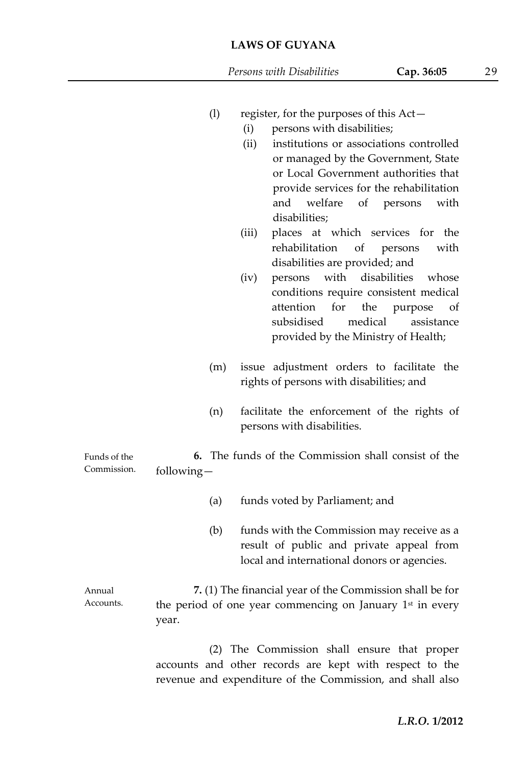- (l) register, for the purposes of this Act—
	- (i) persons with disabilities;
	- (ii) institutions or associations controlled or managed by the Government, State or Local Government authorities that provide services for the rehabilitation and welfare of persons with disabilities;
	- (iii) places at which services for the rehabilitation of persons with disabilities are provided; and
	- (iv) persons with disabilities whose conditions require consistent medical attention for the purpose of subsidised medical assistance provided by the Ministry of Health;
- (m) issue adjustment orders to facilitate the rights of persons with disabilities; and
- (n) facilitate the enforcement of the rights of persons with disabilities.

| Funds of the |            |  | 6. The funds of the Commission shall consist of the |  |  |
|--------------|------------|--|-----------------------------------------------------|--|--|
| Commission.  | following- |  |                                                     |  |  |

- (a) funds voted by Parliament; and
- (b) funds with the Commission may receive as a result of public and private appeal from local and international donors or agencies.

Annual Accounts. **7.** (1) The financial year of the Commission shall be for the period of one year commencing on January 1<sup>st</sup> in every year.

> (2) The Commission shall ensure that proper accounts and other records are kept with respect to the revenue and expenditure of the Commission, and shall also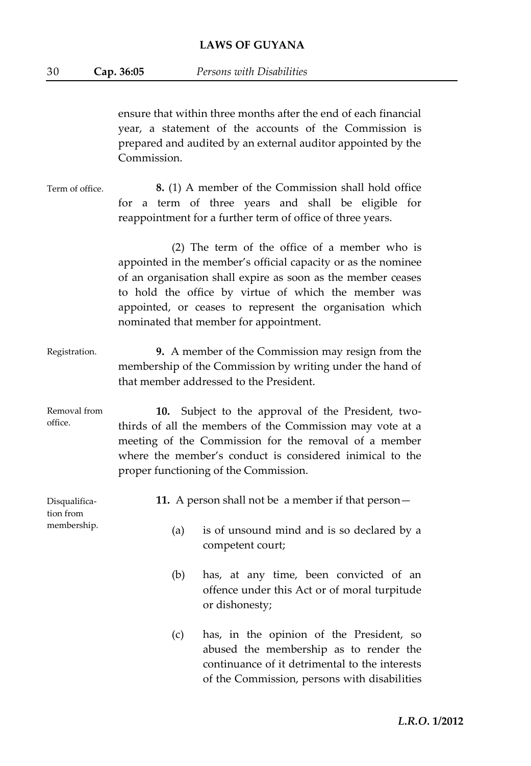30 **Cap. 36:05** *Persons with Disabilities*

ensure that within three months after the end of each financial year, a statement of the accounts of the Commission is prepared and audited by an external auditor appointed by the Commission.

Term of office. **8.** (1) A member of the Commission shall hold office for a term of three years and shall be eligible for reappointment for a further term of office of three years.

> (2) The term of the office of a member who is appointed in the member's official capacity or as the nominee of an organisation shall expire as soon as the member ceases to hold the office by virtue of which the member was appointed, or ceases to represent the organisation which nominated that member for appointment.

- Registration. **9.** A member of the Commission may resign from the membership of the Commission by writing under the hand of that member addressed to the President.
- Removal from office. **10.** Subject to the approval of the President, twothirds of all the members of the Commission may vote at a meeting of the Commission for the removal of a member where the member's conduct is considered inimical to the proper functioning of the Commission.

Disqualification from membership. **11.** A person shall not be a member if that person— (a) is of unsound mind and is so declared by a

competent court;

- (b) has, at any time, been convicted of an offence under this Act or of moral turpitude or dishonesty;
- (c) has, in the opinion of the President, so abused the membership as to render the continuance of it detrimental to the interests of the Commission, persons with disabilities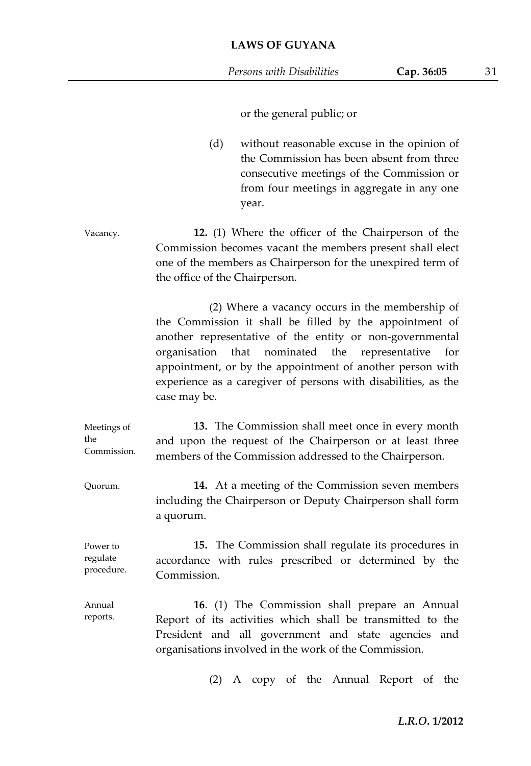or the general public; or

(d) without reasonable excuse in the opinion of the Commission has been absent from three consecutive meetings of the Commission or from four meetings in aggregate in any one year.

Vacancy. **12.** (1) Where the officer of the Chairperson of the Commission becomes vacant the members present shall elect one of the members as Chairperson for the unexpired term of the office of the Chairperson.

> (2) Where a vacancy occurs in the membership of the Commission it shall be filled by the appointment of another representative of the entity or non-governmental organisation that nominated the representative for appointment, or by the appointment of another person with experience as a caregiver of persons with disabilities, as the case may be.

Meetings of the Commission. **13.** The Commission shall meet once in every month and upon the request of the Chairperson or at least three members of the Commission addressed to the Chairperson.

Quorum. **14.** At a meeting of the Commission seven members including the Chairperson or Deputy Chairperson shall form a quorum.

Power to regulate procedure. **15.** The Commission shall regulate its procedures in accordance with rules prescribed or determined by the Commission.

Annual reports. **16**. (1) The Commission shall prepare an Annual Report of its activities which shall be transmitted to the President and all government and state agencies and organisations involved in the work of the Commission.

(2) A copy of the Annual Report of the